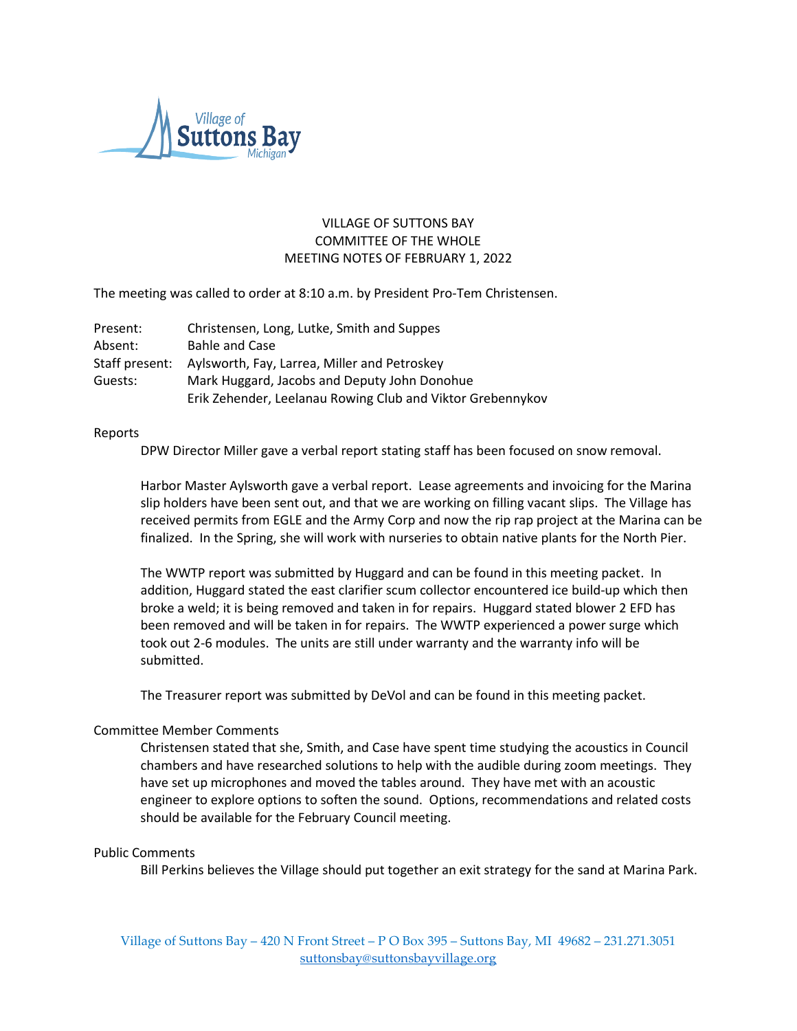

# VILLAGE OF SUTTONS BAY COMMITTEE OF THE WHOLE MEETING NOTES OF FEBRUARY 1, 2022

The meeting was called to order at 8:10 a.m. by President Pro-Tem Christensen.

| Present:       | Christensen, Long, Lutke, Smith and Suppes                 |
|----------------|------------------------------------------------------------|
| Absent:        | <b>Bahle and Case</b>                                      |
| Staff present: | Aylsworth, Fay, Larrea, Miller and Petroskey               |
| Guests:        | Mark Huggard, Jacobs and Deputy John Donohue               |
|                | Erik Zehender, Leelanau Rowing Club and Viktor Grebennykov |

#### Reports

DPW Director Miller gave a verbal report stating staff has been focused on snow removal.

Harbor Master Aylsworth gave a verbal report. Lease agreements and invoicing for the Marina slip holders have been sent out, and that we are working on filling vacant slips. The Village has received permits from EGLE and the Army Corp and now the rip rap project at the Marina can be finalized. In the Spring, she will work with nurseries to obtain native plants for the North Pier.

The WWTP report was submitted by Huggard and can be found in this meeting packet. In addition, Huggard stated the east clarifier scum collector encountered ice build-up which then broke a weld; it is being removed and taken in for repairs. Huggard stated blower 2 EFD has been removed and will be taken in for repairs. The WWTP experienced a power surge which took out 2-6 modules. The units are still under warranty and the warranty info will be submitted.

The Treasurer report was submitted by DeVol and can be found in this meeting packet.

## Committee Member Comments

Christensen stated that she, Smith, and Case have spent time studying the acoustics in Council chambers and have researched solutions to help with the audible during zoom meetings. They have set up microphones and moved the tables around. They have met with an acoustic engineer to explore options to soften the sound. Options, recommendations and related costs should be available for the February Council meeting.

## Public Comments

Bill Perkins believes the Village should put together an exit strategy for the sand at Marina Park.